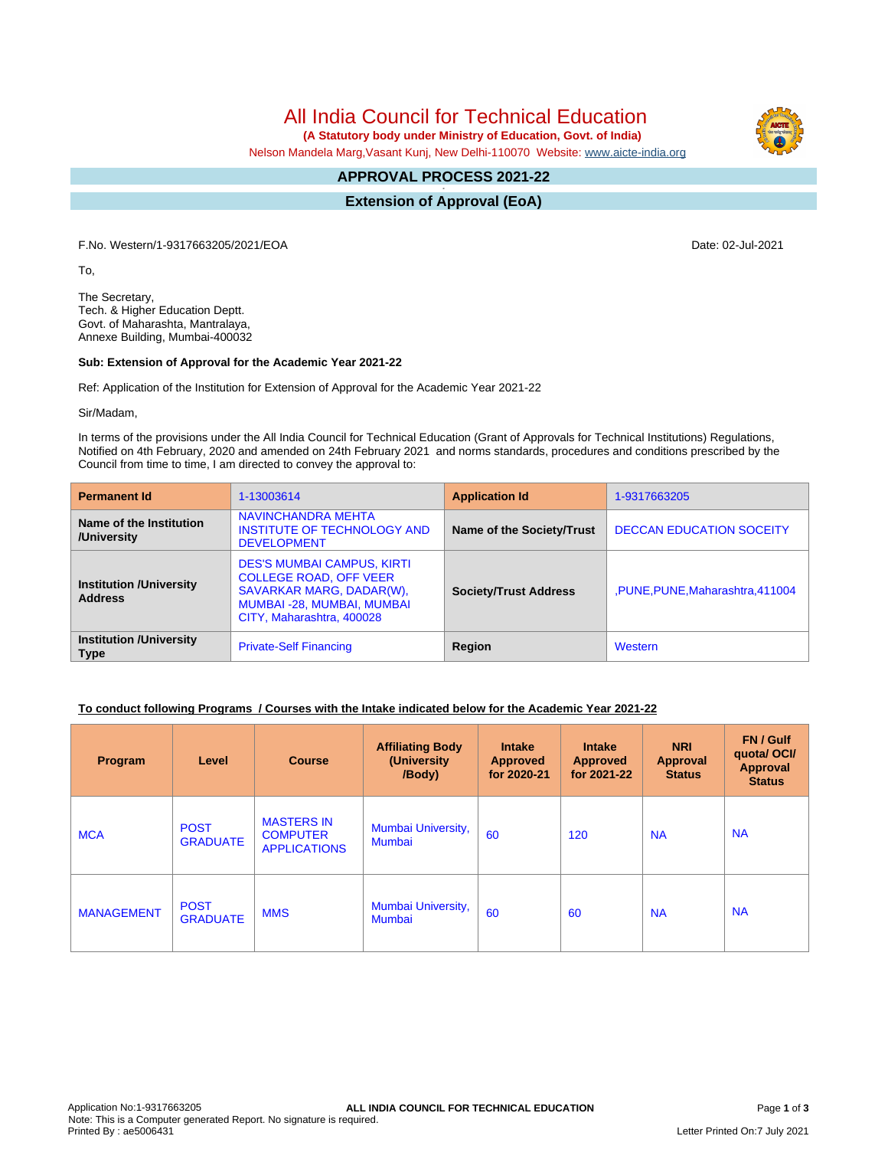All India Council for Technical Education

 **(A Statutory body under Ministry of Education, Govt. of India)**

Nelson Mandela Marg,Vasant Kunj, New Delhi-110070 Website: [www.aicte-india.org](http://www.aicte-india.org)

#### **APPROVAL PROCESS 2021-22 -**

**Extension of Approval (EoA)**

F.No. Western/1-9317663205/2021/EOA Date: 02-Jul-2021

To,

The Secretary, Tech. & Higher Education Deptt. Govt. of Maharashta, Mantralaya, Annexe Building, Mumbai-400032

#### **Sub: Extension of Approval for the Academic Year 2021-22**

Ref: Application of the Institution for Extension of Approval for the Academic Year 2021-22

Sir/Madam,

In terms of the provisions under the All India Council for Technical Education (Grant of Approvals for Technical Institutions) Regulations, Notified on 4th February, 2020 and amended on 24th February 2021 and norms standards, procedures and conditions prescribed by the Council from time to time, I am directed to convey the approval to:

| <b>Permanent Id</b>                              | 1-13003614                                                                                                                                                | <b>Application Id</b>        | 1-9317663205                    |  |
|--------------------------------------------------|-----------------------------------------------------------------------------------------------------------------------------------------------------------|------------------------------|---------------------------------|--|
| Name of the Institution<br>/University           | <b>NAVINCHANDRA MEHTA</b><br><b>INSTITUTE OF TECHNOLOGY AND</b><br><b>DEVELOPMENT</b>                                                                     | Name of the Society/Trust    | <b>DECCAN EDUCATION SOCEITY</b> |  |
| <b>Institution /University</b><br><b>Address</b> | <b>DES'S MUMBAI CAMPUS, KIRTI</b><br><b>COLLEGE ROAD, OFF VEER</b><br>SAVARKAR MARG, DADAR(W),<br>MUMBAI -28, MUMBAI, MUMBAI<br>CITY, Maharashtra, 400028 | <b>Society/Trust Address</b> | ,PUNE,PUNE,Maharashtra,411004   |  |
| <b>Institution /University</b><br><b>Type</b>    | <b>Private-Self Financing</b>                                                                                                                             | <b>Region</b>                | Western                         |  |

## **To conduct following Programs / Courses with the Intake indicated below for the Academic Year 2021-22**

| Program           | Level                          | <b>Course</b>                                               | <b>Affiliating Body</b><br>(University<br>/Body) | <b>Intake</b><br><b>Approved</b><br>for 2020-21 | <b>Intake</b><br><b>Approved</b><br>for 2021-22 | <b>NRI</b><br><b>Approval</b><br><b>Status</b> | FN / Gulf<br>quotal OCI/<br><b>Approval</b><br><b>Status</b> |
|-------------------|--------------------------------|-------------------------------------------------------------|--------------------------------------------------|-------------------------------------------------|-------------------------------------------------|------------------------------------------------|--------------------------------------------------------------|
| <b>MCA</b>        | <b>POST</b><br><b>GRADUATE</b> | <b>MASTERS IN</b><br><b>COMPUTER</b><br><b>APPLICATIONS</b> | Mumbai University,<br><b>Mumbai</b>              | 60                                              | 120                                             | <b>NA</b>                                      | <b>NA</b>                                                    |
| <b>MANAGEMENT</b> | <b>POST</b><br><b>GRADUATE</b> | <b>MMS</b>                                                  | Mumbai University,<br><b>Mumbai</b>              | 60                                              | 60                                              | <b>NA</b>                                      | <b>NA</b>                                                    |

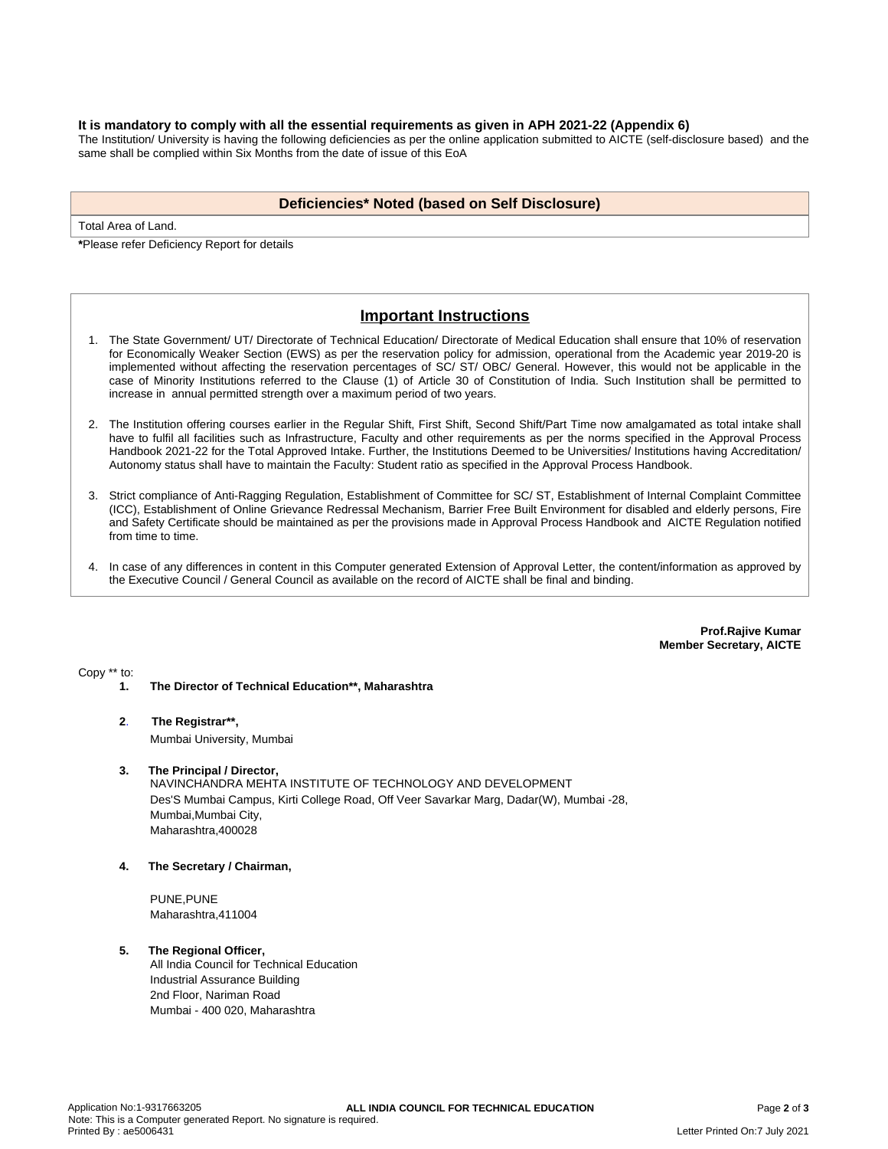#### **It is mandatory to comply with all the essential requirements as given in APH 2021-22 (Appendix 6)**

The Institution/ University is having the following deficiencies as per the online application submitted to AICTE (self-disclosure based) and the same shall be complied within Six Months from the date of issue of this EoA

## **Deficiencies\* Noted (based on Self Disclosure)**

Total Area of Land.

**\***Please refer Deficiency Report for details

# **Important Instructions**

- 1. The State Government/ UT/ Directorate of Technical Education/ Directorate of Medical Education shall ensure that 10% of reservation for Economically Weaker Section (EWS) as per the reservation policy for admission, operational from the Academic year 2019-20 is implemented without affecting the reservation percentages of SC/ ST/ OBC/ General. However, this would not be applicable in the case of Minority Institutions referred to the Clause (1) of Article 30 of Constitution of India. Such Institution shall be permitted to increase in annual permitted strength over a maximum period of two years.
- 2. The Institution offering courses earlier in the Regular Shift, First Shift, Second Shift/Part Time now amalgamated as total intake shall have to fulfil all facilities such as Infrastructure, Faculty and other requirements as per the norms specified in the Approval Process Handbook 2021-22 for the Total Approved Intake. Further, the Institutions Deemed to be Universities/ Institutions having Accreditation/ Autonomy status shall have to maintain the Faculty: Student ratio as specified in the Approval Process Handbook.
- 3. Strict compliance of Anti-Ragging Regulation, Establishment of Committee for SC/ ST, Establishment of Internal Complaint Committee (ICC), Establishment of Online Grievance Redressal Mechanism, Barrier Free Built Environment for disabled and elderly persons, Fire and Safety Certificate should be maintained as per the provisions made in Approval Process Handbook and AICTE Regulation notified from time to time.
- 4. In case of any differences in content in this Computer generated Extension of Approval Letter, the content/information as approved by the Executive Council / General Council as available on the record of AICTE shall be final and binding.

**Prof.Rajive Kumar Member Secretary, AICTE**

Copy \*\* to:

- **1. The Director of Technical Education\*\*, Maharashtra**
- **2**. **The Registrar\*\*,**

Mumbai University, Mumbai

#### **3. The Principal / Director,**

NAVINCHANDRA MEHTA INSTITUTE OF TECHNOLOGY AND DEVELOPMENT Des'S Mumbai Campus, Kirti College Road, Off Veer Savarkar Marg, Dadar(W), Mumbai -28, Mumbai,Mumbai City, Maharashtra,400028

**4. The Secretary / Chairman,**

PUNE,PUNE Maharashtra,411004

# **5. The Regional Officer,**

All India Council for Technical Education Industrial Assurance Building 2nd Floor, Nariman Road Mumbai - 400 020, Maharashtra